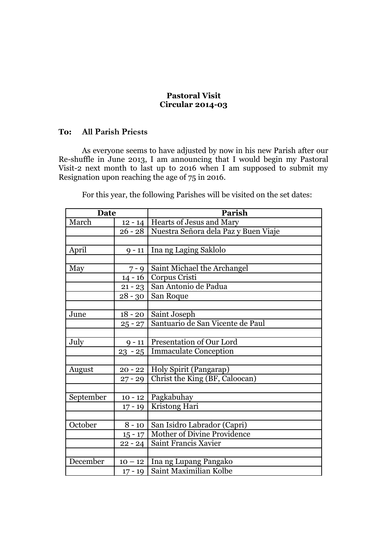## **Pastoral Visit Circular 2014-03**

## **To: All Parish Priests**

As everyone seems to have adjusted by now in his new Parish after our Re-shuffle in June 2013, I am announcing that I would begin my Pastoral Visit-2 next month to last up to 2016 when I am supposed to submit my Resignation upon reaching the age of 75 in 2016.

For this year, the following Parishes will be visited on the set dates:

| <b>Date</b> |           | Parish                               |
|-------------|-----------|--------------------------------------|
| March       |           | 12 - 14   Hearts of Jesus and Mary   |
|             | $26 - 28$ | Nuestra Señora dela Paz y Buen Viaje |
|             |           |                                      |
| April       | $9 - 11$  | Ina ng Laging Saklolo                |
|             |           |                                      |
| May         | $7 - 9$   | Saint Michael the Archangel          |
|             | $14 - 16$ | Corpus Cristi                        |
|             | $21 - 23$ | San Antonio de Padua                 |
|             | $28 - 30$ | San Roque                            |
|             |           |                                      |
| June        | $18 - 20$ | Saint Joseph                         |
|             | $25 - 27$ | Santuario de San Vicente de Paul     |
|             |           |                                      |
| July        | $9 - 11$  | Presentation of Our Lord             |
|             | $23 - 25$ | <b>Immaculate Conception</b>         |
|             |           |                                      |
| August      | $20 - 22$ | Holy Spirit (Pangarap)               |
|             | $27 - 29$ | Christ the King (BF, Caloocan)       |
|             |           |                                      |
| September   | $10 - 12$ | Pagkabuhay                           |
|             | $17 - 19$ | Kristong Hari                        |
|             |           |                                      |
| October     | $8 - 10$  | San Isidro Labrador (Capri)          |
|             | $15 - 17$ | Mother of Divine Providence          |
|             | $22 - 24$ | Saint Francis Xavier                 |
|             |           |                                      |
| December    | $10 - 12$ | Ina ng Lupang Pangako                |
|             | $17 - 19$ | Saint Maximilian Kolbe               |